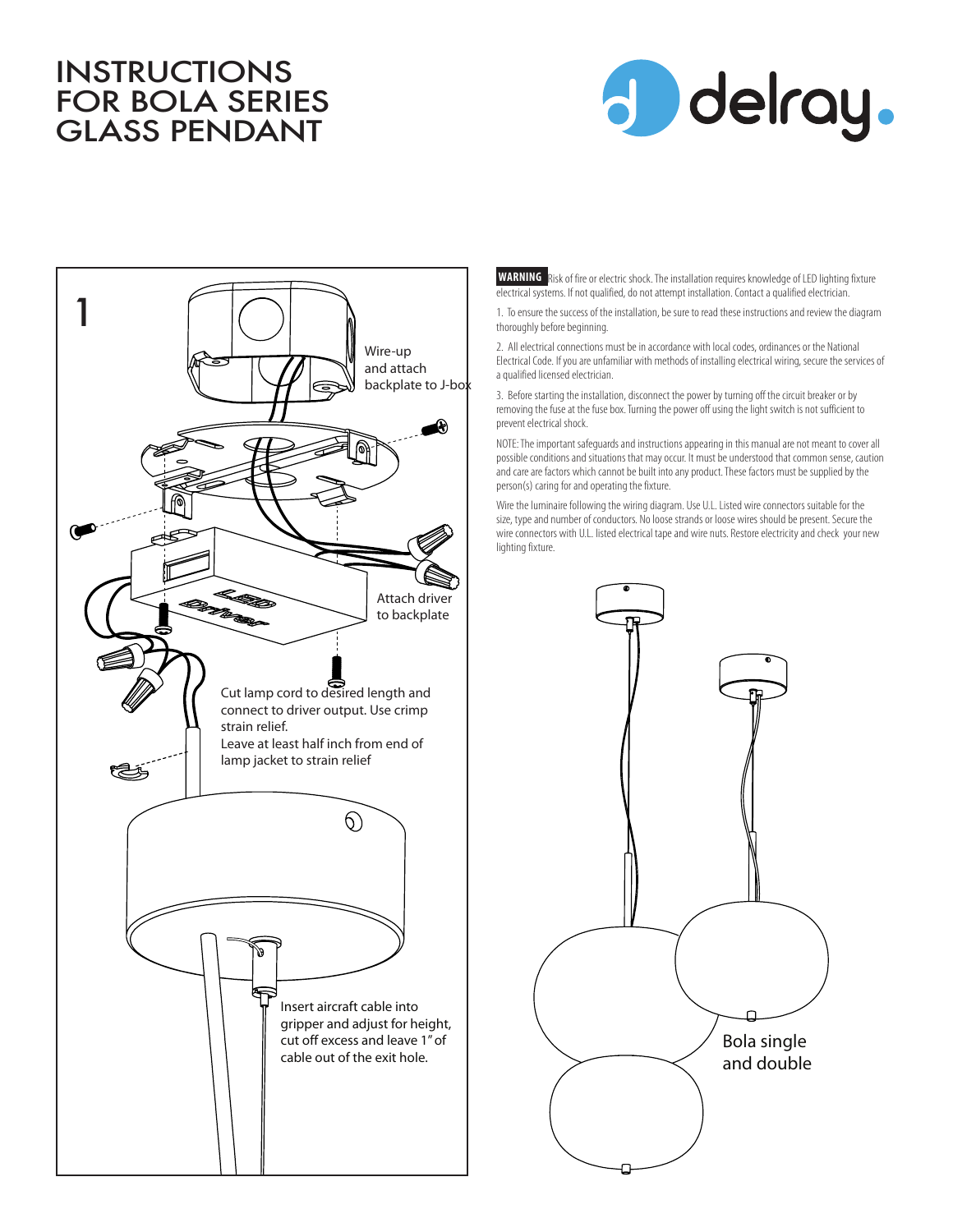## INSTRUCTIONS FOR BOLA SERIES GLASS PENDANT





**WARNING** Risk of fire or electric shock. The installation requires knowledge of LED lighting fixture electrical systems. If not qualified, do not attempt installation. Contact a qualified electrician.

1. To ensure the success of the installation, be sure to read these instructions and review the diagram thoroughly before beginning.

2. All electrical connections must be in accordance with local codes, ordinances or the National Electrical Code. If you are unfamiliar with methods of installing electrical wiring, secure the services of a qualified licensed electrician.

3. Before starting the installation, disconnect the power by turning off the circuit breaker or by removing the fuse at the fuse box. Turning the power off using the light switch is not sufficient to prevent electrical shock.

NOTE: The important safeguards and instructions appearing in this manual are not meant to cover all possible conditions and situations that may occur. It must be understood that common sense, caution and care are factors which cannot be built into any product. These factors must be supplied by the person(s) caring for and operating the fixture.

Wire the luminaire following the wiring diagram. Use U.L. Listed wire connectors suitable for the size, type and number of conductors. No loose strands or loose wires should be present. Secure the wire connectors with U.L. listed electrical tape and wire nuts. Restore electricity and check your new lighting fixture.

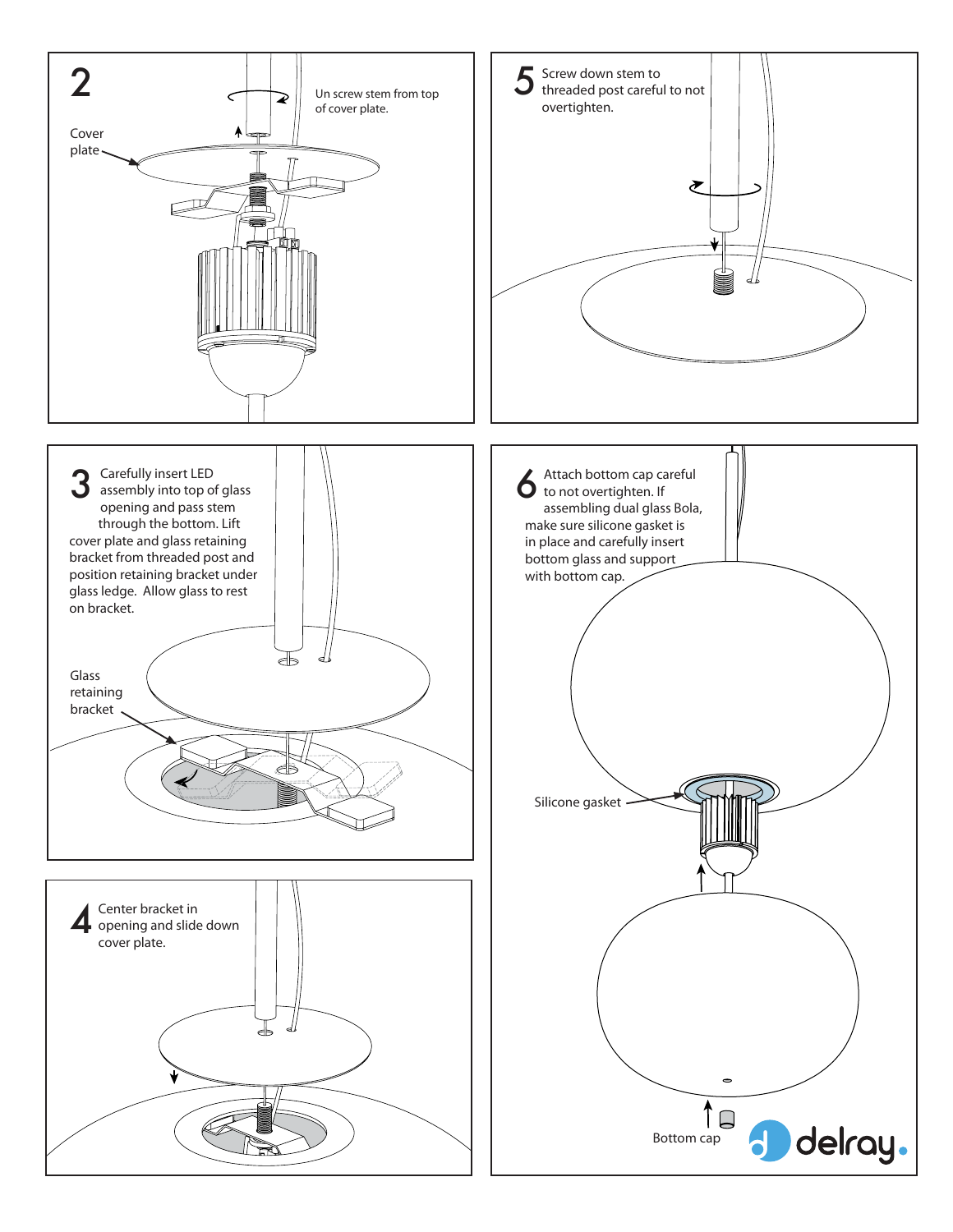